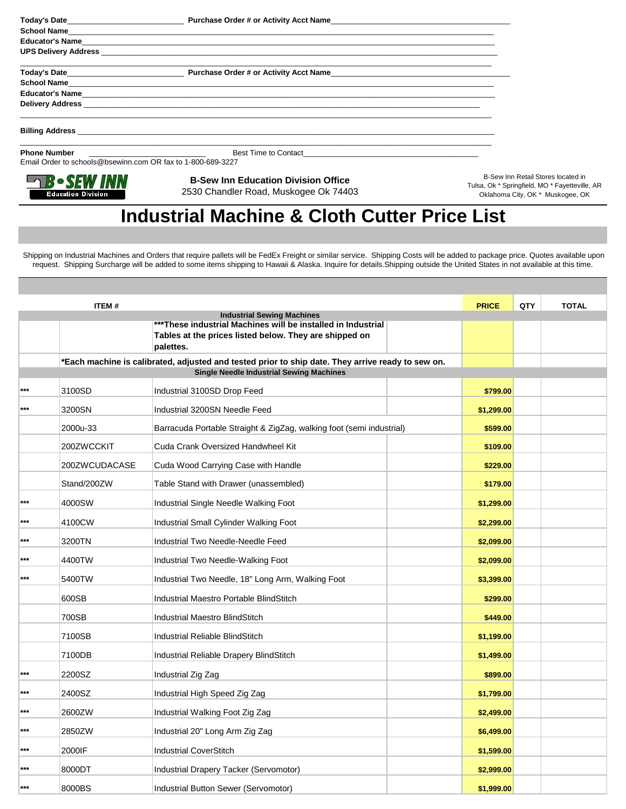| <b>School Name</b>                                          |                                                                                     |                                                                                                                          |
|-------------------------------------------------------------|-------------------------------------------------------------------------------------|--------------------------------------------------------------------------------------------------------------------------|
|                                                             |                                                                                     |                                                                                                                          |
|                                                             |                                                                                     |                                                                                                                          |
|                                                             | Today's Date <b>Example 2018</b> Purchase Order # or Activity Acct Name             |                                                                                                                          |
|                                                             | School Name                                                                         |                                                                                                                          |
|                                                             |                                                                                     |                                                                                                                          |
|                                                             |                                                                                     |                                                                                                                          |
|                                                             | ,我们也不能在这里的时候,我们也不能在这里的时候,我们也不能会在这里,我们也不能会在这里,我们也不能会在这里,我们也不能会在这里,我们也不能会不能会不能会不能会    |                                                                                                                          |
| <b>Phone Number</b>                                         |                                                                                     |                                                                                                                          |
| Email Order to schools@bsewinn.com OR fax to 1-800-689-3227 |                                                                                     |                                                                                                                          |
| <b>Education Division</b>                                   | <b>B-Sew Inn Education Division Office</b><br>2530 Chandler Road, Muskogee Ok 74403 | B-Sew Inn Retail Stores located in<br>Tulsa, Ok * Springfield, MO * Fayetteville, AR<br>Oklahoma City, OK * Muskogee, OK |

## **Industrial Machine & Cloth Cutter Price List**

Oklahoma City, OK \* Muskogee, OK

 Shipping on Industrial Machines and Orders that require pallets will be FedEx Freight or similar service. Shipping Costs will be added to package price. Quotes available upon request. Shipping Surcharge will be added to some items shipping to Hawaii & Alaska. Inquire for details.Shipping outside the United States in not available at this time.

| <b>ITEM#</b> |                                                                                  |                                                                                                                                                                          | <b>PRICE</b> | QTY | <b>TOTAL</b> |
|--------------|----------------------------------------------------------------------------------|--------------------------------------------------------------------------------------------------------------------------------------------------------------------------|--------------|-----|--------------|
|              |                                                                                  | <b>Industrial Sewing Machines</b><br>***These industrial Machines will be installed in Industrial<br>Tables at the prices listed below. They are shipped on<br>palettes. |              |     |              |
|              |                                                                                  | *Each machine is calibrated, adjusted and tested prior to ship date. They arrive ready to sew on.                                                                        |              |     |              |
|              |                                                                                  | <b>Single Needle Industrial Sewing Machines</b>                                                                                                                          |              |     |              |
| ***          | 3100SD                                                                           | Industrial 3100SD Drop Feed                                                                                                                                              | \$799.00     |     |              |
| ***          | 3200SN                                                                           | Industrial 3200SN Needle Feed                                                                                                                                            | \$1,299.00   |     |              |
|              | 2000u-33<br>Barracuda Portable Straight & ZigZag, walking foot (semi industrial) |                                                                                                                                                                          | \$599.00     |     |              |
|              | 200ZWCCKIT                                                                       | Cuda Crank Oversized Handwheel Kit                                                                                                                                       | \$109.00     |     |              |
|              | 200ZWCUDACASE                                                                    | Cuda Wood Carrying Case with Handle                                                                                                                                      | \$229.00     |     |              |
|              | Stand/200ZW                                                                      | Table Stand with Drawer (unassembled)                                                                                                                                    | \$179.00     |     |              |
| $***$        | 4000SW                                                                           | Industrial Single Needle Walking Foot                                                                                                                                    | \$1,299.00   |     |              |
| $***$        | 4100CW                                                                           | Industrial Small Cylinder Walking Foot                                                                                                                                   | \$2,299.00   |     |              |
| $***$        | 3200TN                                                                           | Industrial Two Needle-Needle Feed                                                                                                                                        | \$2,099.00   |     |              |
| ***          | 4400TW                                                                           | Industrial Two Needle-Walking Foot                                                                                                                                       | \$2,099.00   |     |              |
| $***$        | 5400TW                                                                           | Industrial Two Needle, 18" Long Arm, Walking Foot                                                                                                                        | \$3,399.00   |     |              |
|              | 600SB                                                                            | Industrial Maestro Portable BlindStitch                                                                                                                                  | \$299.00     |     |              |
|              | 700SB                                                                            | <b>Industrial Maestro BlindStitch</b>                                                                                                                                    | \$449.00     |     |              |
|              | 7100SB                                                                           | <b>Industrial Reliable BlindStitch</b>                                                                                                                                   | \$1,199.00   |     |              |
|              | 7100DB                                                                           | Industrial Reliable Drapery BlindStitch                                                                                                                                  | \$1,499.00   |     |              |
| $***$        | 2200SZ                                                                           | Industrial Zig Zag                                                                                                                                                       | \$899.00     |     |              |
| ***          | 2400SZ                                                                           | Industrial High Speed Zig Zag                                                                                                                                            | \$1,799.00   |     |              |
| $***$        | 2600ZW                                                                           | Industrial Walking Foot Zig Zag                                                                                                                                          | \$2,499.00   |     |              |
| $***$        | 2850ZW                                                                           | Industrial 20" Long Arm Zig Zag                                                                                                                                          | \$6,499.00   |     |              |
| ***          | 2000IF                                                                           | <b>Industrial CoverStitch</b>                                                                                                                                            | \$1,599.00   |     |              |
| ***          | 8000DT                                                                           | Industrial Drapery Tacker (Servomotor)                                                                                                                                   | \$2,999.00   |     |              |
| ***          | 8000BS                                                                           | Industrial Button Sewer (Servomotor)                                                                                                                                     | \$1.999.00   |     |              |